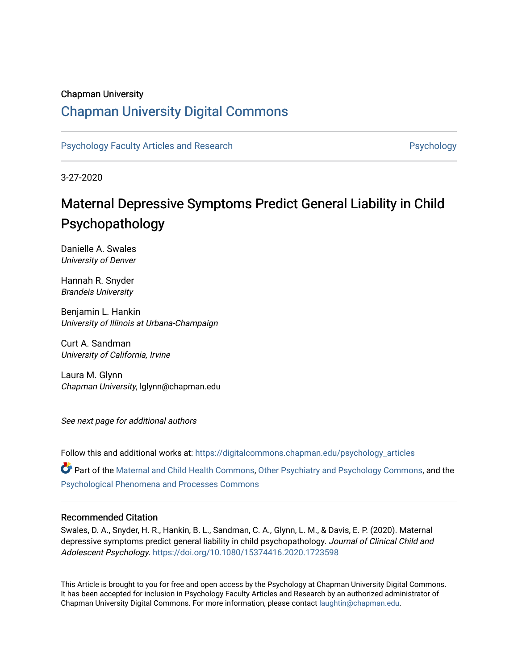## Chapman University

# [Chapman University Digital Commons](https://digitalcommons.chapman.edu/)

[Psychology Faculty Articles and Research](https://digitalcommons.chapman.edu/psychology_articles) **Provident Contact Article Structure** Psychology

3-27-2020

# Maternal Depressive Symptoms Predict General Liability in Child Psychopathology

Danielle A. Swales University of Denver

Hannah R. Snyder Brandeis University

Benjamin L. Hankin University of Illinois at Urbana-Champaign

Curt A. Sandman University of California, Irvine

Laura M. Glynn Chapman University, lglynn@chapman.edu

See next page for additional authors

Follow this and additional works at: [https://digitalcommons.chapman.edu/psychology\\_articles](https://digitalcommons.chapman.edu/psychology_articles?utm_source=digitalcommons.chapman.edu%2Fpsychology_articles%2F280&utm_medium=PDF&utm_campaign=PDFCoverPages)

**C** Part of the [Maternal and Child Health Commons,](http://network.bepress.com/hgg/discipline/745?utm_source=digitalcommons.chapman.edu%2Fpsychology_articles%2F280&utm_medium=PDF&utm_campaign=PDFCoverPages) [Other Psychiatry and Psychology Commons,](http://network.bepress.com/hgg/discipline/992?utm_source=digitalcommons.chapman.edu%2Fpsychology_articles%2F280&utm_medium=PDF&utm_campaign=PDFCoverPages) and the [Psychological Phenomena and Processes Commons](http://network.bepress.com/hgg/discipline/914?utm_source=digitalcommons.chapman.edu%2Fpsychology_articles%2F280&utm_medium=PDF&utm_campaign=PDFCoverPages)

#### Recommended Citation

Swales, D. A., Snyder, H. R., Hankin, B. L., Sandman, C. A., Glynn, L. M., & Davis, E. P. (2020). Maternal depressive symptoms predict general liability in child psychopathology. Journal of Clinical Child and Adolescent Psychology. <https://doi.org/10.1080/15374416.2020.1723598>

This Article is brought to you for free and open access by the Psychology at Chapman University Digital Commons. It has been accepted for inclusion in Psychology Faculty Articles and Research by an authorized administrator of Chapman University Digital Commons. For more information, please contact [laughtin@chapman.edu](mailto:laughtin@chapman.edu).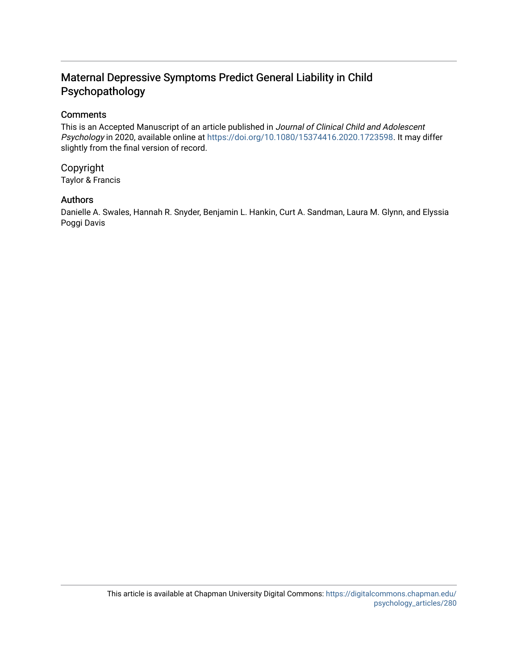## Maternal Depressive Symptoms Predict General Liability in Child Psychopathology

## **Comments**

This is an Accepted Manuscript of an article published in Journal of Clinical Child and Adolescent Psychology in 2020, available online at [https://doi.org/10.1080/15374416.2020.1723598.](https://doi.org/10.1080/15374416.2020.1723598) It may differ slightly from the final version of record.

# Copyright

Taylor & Francis

## Authors

Danielle A. Swales, Hannah R. Snyder, Benjamin L. Hankin, Curt A. Sandman, Laura M. Glynn, and Elyssia Poggi Davis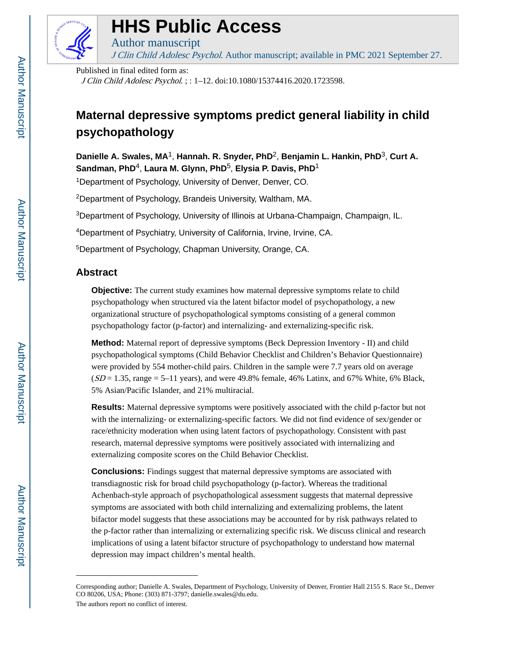

# **HHS Public Access**

Author manuscript J Clin Child Adolesc Psychol. Author manuscript; available in PMC 2021 September 27.

Published in final edited form as:

J Clin Child Adolesc Psychol. ; : 1–12. doi:10.1080/15374416.2020.1723598.

# **Maternal depressive symptoms predict general liability in child psychopathology**

**Danielle A. Swales, MA**1, **Hannah. R. Snyder, PhD**2, **Benjamin L. Hankin, PhD**3, **Curt A. Sandman, PhD**4, **Laura M. Glynn, PhD**5, **Elysia P. Davis, PhD**<sup>1</sup>

<sup>1</sup>Department of Psychology, University of Denver, Denver, CO.

<sup>2</sup>Department of Psychology, Brandeis University, Waltham, MA.

<sup>3</sup>Department of Psychology, University of Illinois at Urbana-Champaign, Champaign, IL.

<sup>4</sup>Department of Psychiatry, University of California, Irvine, Irvine, CA.

<sup>5</sup>Department of Psychology, Chapman University, Orange, CA.

## **Abstract**

**Objective:** The current study examines how maternal depressive symptoms relate to child psychopathology when structured via the latent bifactor model of psychopathology, a new organizational structure of psychopathological symptoms consisting of a general common psychopathology factor (p-factor) and internalizing- and externalizing-specific risk.

**Method:** Maternal report of depressive symptoms (Beck Depression Inventory - II) and child psychopathological symptoms (Child Behavior Checklist and Children's Behavior Questionnaire) were provided by 554 mother-child pairs. Children in the sample were 7.7 years old on average  $(SD = 1.35$ , range  $= 5-11$  years), and were 49.8% female, 46% Latinx, and 67% White, 6% Black, 5% Asian/Pacific Islander, and 21% multiracial.

**Results:** Maternal depressive symptoms were positively associated with the child p-factor but not with the internalizing- or externalizing-specific factors. We did not find evidence of sex/gender or race/ethnicity moderation when using latent factors of psychopathology. Consistent with past research, maternal depressive symptoms were positively associated with internalizing and externalizing composite scores on the Child Behavior Checklist.

**Conclusions:** Findings suggest that maternal depressive symptoms are associated with transdiagnostic risk for broad child psychopathology (p-factor). Whereas the traditional Achenbach-style approach of psychopathological assessment suggests that maternal depressive symptoms are associated with both child internalizing and externalizing problems, the latent bifactor model suggests that these associations may be accounted for by risk pathways related to the p-factor rather than internalizing or externalizing specific risk. We discuss clinical and research implications of using a latent bifactor structure of psychopathology to understand how maternal depression may impact children's mental health.

Corresponding author; Danielle A. Swales, Department of Psychology, University of Denver, Frontier Hall 2155 S. Race St., Denver CO 80206, USA; Phone: (303) 871-3797; danielle.swales@du.edu. The authors report no conflict of interest.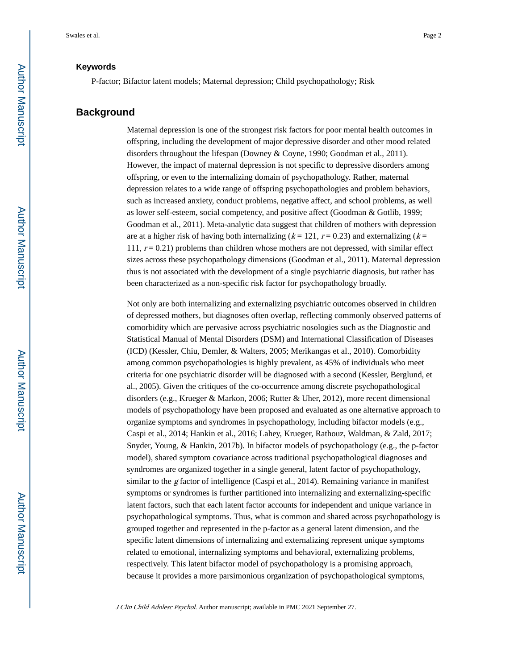#### **Keywords**

P-factor; Bifactor latent models; Maternal depression; Child psychopathology; Risk

#### **Background**

Maternal depression is one of the strongest risk factors for poor mental health outcomes in offspring, including the development of major depressive disorder and other mood related disorders throughout the lifespan (Downey & Coyne, 1990; Goodman et al., 2011). However, the impact of maternal depression is not specific to depressive disorders among offspring, or even to the internalizing domain of psychopathology. Rather, maternal depression relates to a wide range of offspring psychopathologies and problem behaviors, such as increased anxiety, conduct problems, negative affect, and school problems, as well as lower self-esteem, social competency, and positive affect (Goodman & Gotlib, 1999; Goodman et al., 2011). Meta-analytic data suggest that children of mothers with depression are at a higher risk of having both internalizing ( $k = 121$ ,  $r = 0.23$ ) and externalizing ( $k = 12$ )  $111, r = 0.21$  problems than children whose mothers are not depressed, with similar effect sizes across these psychopathology dimensions (Goodman et al., 2011). Maternal depression thus is not associated with the development of a single psychiatric diagnosis, but rather has been characterized as a non-specific risk factor for psychopathology broadly.

Not only are both internalizing and externalizing psychiatric outcomes observed in children of depressed mothers, but diagnoses often overlap, reflecting commonly observed patterns of comorbidity which are pervasive across psychiatric nosologies such as the Diagnostic and Statistical Manual of Mental Disorders (DSM) and International Classification of Diseases (ICD) (Kessler, Chiu, Demler, & Walters, 2005; Merikangas et al., 2010). Comorbidity among common psychopathologies is highly prevalent, as 45% of individuals who meet criteria for one psychiatric disorder will be diagnosed with a second (Kessler, Berglund, et al., 2005). Given the critiques of the co-occurrence among discrete psychopathological disorders (e.g., Krueger & Markon, 2006; Rutter & Uher, 2012), more recent dimensional models of psychopathology have been proposed and evaluated as one alternative approach to organize symptoms and syndromes in psychopathology, including bifactor models (e.g., Caspi et al., 2014; Hankin et al., 2016; Lahey, Krueger, Rathouz, Waldman, & Zald, 2017; Snyder, Young, & Hankin, 2017b). In bifactor models of psychopathology (e.g., the p-factor model), shared symptom covariance across traditional psychopathological diagnoses and syndromes are organized together in a single general, latent factor of psychopathology, similar to the g factor of intelligence (Caspi et al., 2014). Remaining variance in manifest symptoms or syndromes is further partitioned into internalizing and externalizing-specific latent factors, such that each latent factor accounts for independent and unique variance in psychopathological symptoms. Thus, what is common and shared across psychopathology is grouped together and represented in the p-factor as a general latent dimension, and the specific latent dimensions of internalizing and externalizing represent unique symptoms related to emotional, internalizing symptoms and behavioral, externalizing problems, respectively. This latent bifactor model of psychopathology is a promising approach, because it provides a more parsimonious organization of psychopathological symptoms,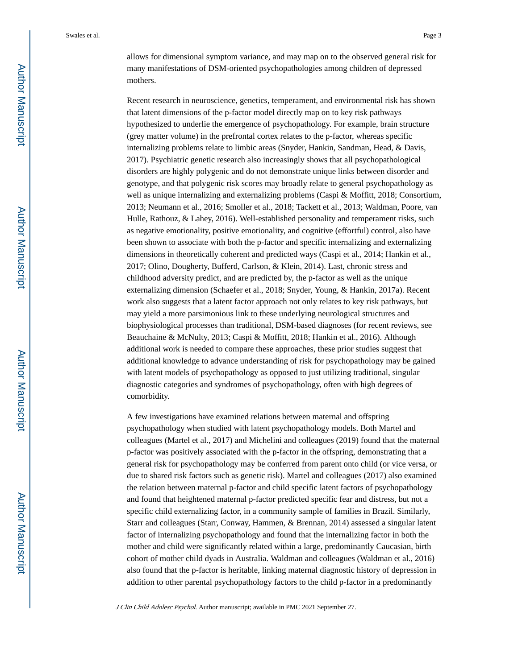allows for dimensional symptom variance, and may map on to the observed general risk for many manifestations of DSM-oriented psychopathologies among children of depressed mothers.

Recent research in neuroscience, genetics, temperament, and environmental risk has shown that latent dimensions of the p-factor model directly map on to key risk pathways hypothesized to underlie the emergence of psychopathology. For example, brain structure (grey matter volume) in the prefrontal cortex relates to the p-factor, whereas specific internalizing problems relate to limbic areas (Snyder, Hankin, Sandman, Head, & Davis, 2017). Psychiatric genetic research also increasingly shows that all psychopathological disorders are highly polygenic and do not demonstrate unique links between disorder and genotype, and that polygenic risk scores may broadly relate to general psychopathology as well as unique internalizing and externalizing problems (Caspi & Moffitt, 2018; Consortium, 2013; Neumann et al., 2016; Smoller et al., 2018; Tackett et al., 2013; Waldman, Poore, van Hulle, Rathouz, & Lahey, 2016). Well-established personality and temperament risks, such as negative emotionality, positive emotionality, and cognitive (effortful) control, also have been shown to associate with both the p-factor and specific internalizing and externalizing dimensions in theoretically coherent and predicted ways (Caspi et al., 2014; Hankin et al., 2017; Olino, Dougherty, Bufferd, Carlson, & Klein, 2014). Last, chronic stress and childhood adversity predict, and are predicted by, the p-factor as well as the unique externalizing dimension (Schaefer et al., 2018; Snyder, Young, & Hankin, 2017a). Recent work also suggests that a latent factor approach not only relates to key risk pathways, but may yield a more parsimonious link to these underlying neurological structures and biophysiological processes than traditional, DSM-based diagnoses (for recent reviews, see Beauchaine & McNulty, 2013; Caspi & Moffitt, 2018; Hankin et al., 2016). Although additional work is needed to compare these approaches, these prior studies suggest that additional knowledge to advance understanding of risk for psychopathology may be gained with latent models of psychopathology as opposed to just utilizing traditional, singular diagnostic categories and syndromes of psychopathology, often with high degrees of comorbidity.

A few investigations have examined relations between maternal and offspring psychopathology when studied with latent psychopathology models. Both Martel and colleagues (Martel et al., 2017) and Michelini and colleagues (2019) found that the maternal p-factor was positively associated with the p-factor in the offspring, demonstrating that a general risk for psychopathology may be conferred from parent onto child (or vice versa, or due to shared risk factors such as genetic risk). Martel and colleagues (2017) also examined the relation between maternal p-factor and child specific latent factors of psychopathology and found that heightened maternal p-factor predicted specific fear and distress, but not a specific child externalizing factor, in a community sample of families in Brazil. Similarly, Starr and colleagues (Starr, Conway, Hammen, & Brennan, 2014) assessed a singular latent factor of internalizing psychopathology and found that the internalizing factor in both the mother and child were significantly related within a large, predominantly Caucasian, birth cohort of mother child dyads in Australia. Waldman and colleagues (Waldman et al., 2016) also found that the p-factor is heritable, linking maternal diagnostic history of depression in addition to other parental psychopathology factors to the child p-factor in a predominantly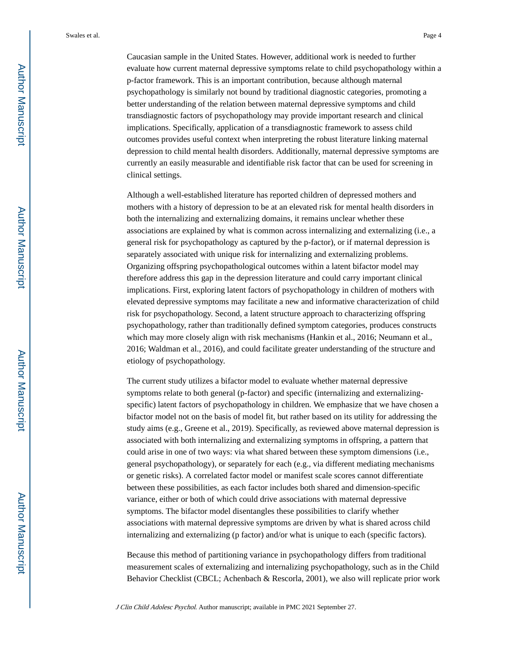Caucasian sample in the United States. However, additional work is needed to further evaluate how current maternal depressive symptoms relate to child psychopathology within a p-factor framework. This is an important contribution, because although maternal psychopathology is similarly not bound by traditional diagnostic categories, promoting a better understanding of the relation between maternal depressive symptoms and child transdiagnostic factors of psychopathology may provide important research and clinical implications. Specifically, application of a transdiagnostic framework to assess child outcomes provides useful context when interpreting the robust literature linking maternal depression to child mental health disorders. Additionally, maternal depressive symptoms are currently an easily measurable and identifiable risk factor that can be used for screening in clinical settings.

Although a well-established literature has reported children of depressed mothers and mothers with a history of depression to be at an elevated risk for mental health disorders in both the internalizing and externalizing domains, it remains unclear whether these associations are explained by what is common across internalizing and externalizing (i.e., a general risk for psychopathology as captured by the p-factor), or if maternal depression is separately associated with unique risk for internalizing and externalizing problems. Organizing offspring psychopathological outcomes within a latent bifactor model may therefore address this gap in the depression literature and could carry important clinical implications. First, exploring latent factors of psychopathology in children of mothers with elevated depressive symptoms may facilitate a new and informative characterization of child risk for psychopathology. Second, a latent structure approach to characterizing offspring psychopathology, rather than traditionally defined symptom categories, produces constructs which may more closely align with risk mechanisms (Hankin et al., 2016; Neumann et al., 2016; Waldman et al., 2016), and could facilitate greater understanding of the structure and etiology of psychopathology.

The current study utilizes a bifactor model to evaluate whether maternal depressive symptoms relate to both general (p-factor) and specific (internalizing and externalizingspecific) latent factors of psychopathology in children. We emphasize that we have chosen a bifactor model not on the basis of model fit, but rather based on its utility for addressing the study aims (e.g., Greene et al., 2019). Specifically, as reviewed above maternal depression is associated with both internalizing and externalizing symptoms in offspring, a pattern that could arise in one of two ways: via what shared between these symptom dimensions (i.e., general psychopathology), or separately for each (e.g., via different mediating mechanisms or genetic risks). A correlated factor model or manifest scale scores cannot differentiate between these possibilities, as each factor includes both shared and dimension-specific variance, either or both of which could drive associations with maternal depressive symptoms. The bifactor model disentangles these possibilities to clarify whether associations with maternal depressive symptoms are driven by what is shared across child internalizing and externalizing (p factor) and/or what is unique to each (specific factors).

Because this method of partitioning variance in psychopathology differs from traditional measurement scales of externalizing and internalizing psychopathology, such as in the Child Behavior Checklist (CBCL; Achenbach & Rescorla, 2001), we also will replicate prior work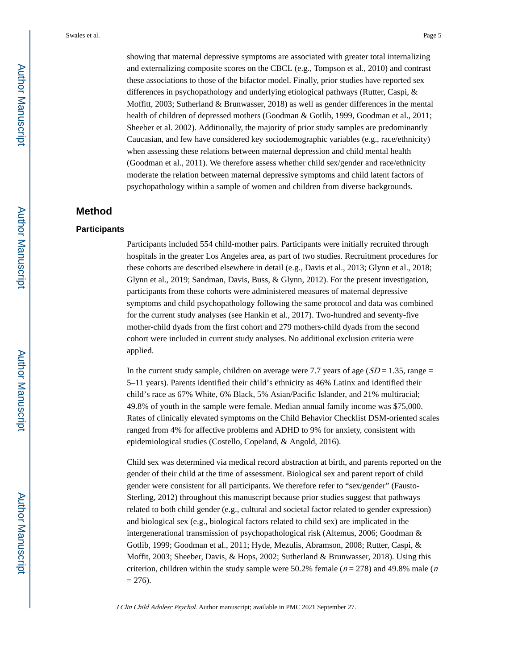showing that maternal depressive symptoms are associated with greater total internalizing and externalizing composite scores on the CBCL (e.g., Tompson et al., 2010) and contrast these associations to those of the bifactor model. Finally, prior studies have reported sex differences in psychopathology and underlying etiological pathways (Rutter, Caspi, & Moffitt, 2003; Sutherland & Brunwasser, 2018) as well as gender differences in the mental health of children of depressed mothers (Goodman & Gotlib, 1999, Goodman et al., 2011; Sheeber et al. 2002). Additionally, the majority of prior study samples are predominantly Caucasian, and few have considered key sociodemographic variables (e.g., race/ethnicity) when assessing these relations between maternal depression and child mental health (Goodman et al., 2011). We therefore assess whether child sex/gender and race/ethnicity moderate the relation between maternal depressive symptoms and child latent factors of psychopathology within a sample of women and children from diverse backgrounds.

#### **Method**

#### **Participants**

Participants included 554 child-mother pairs. Participants were initially recruited through hospitals in the greater Los Angeles area, as part of two studies. Recruitment procedures for these cohorts are described elsewhere in detail (e.g., Davis et al., 2013; Glynn et al., 2018; Glynn et al., 2019; Sandman, Davis, Buss, & Glynn, 2012). For the present investigation, participants from these cohorts were administered measures of maternal depressive symptoms and child psychopathology following the same protocol and data was combined for the current study analyses (see Hankin et al., 2017). Two-hundred and seventy-five mother-child dyads from the first cohort and 279 mothers-child dyads from the second cohort were included in current study analyses. No additional exclusion criteria were applied.

In the current study sample, children on average were 7.7 years of age ( $SD = 1.35$ , range = 5–11 years). Parents identified their child's ethnicity as 46% Latinx and identified their child's race as 67% White, 6% Black, 5% Asian/Pacific Islander, and 21% multiracial; 49.8% of youth in the sample were female. Median annual family income was \$75,000. Rates of clinically elevated symptoms on the Child Behavior Checklist DSM-oriented scales ranged from 4% for affective problems and ADHD to 9% for anxiety, consistent with epidemiological studies (Costello, Copeland, & Angold, 2016).

Child sex was determined via medical record abstraction at birth, and parents reported on the gender of their child at the time of assessment. Biological sex and parent report of child gender were consistent for all participants. We therefore refer to "sex/gender" (Fausto-Sterling, 2012) throughout this manuscript because prior studies suggest that pathways related to both child gender (e.g., cultural and societal factor related to gender expression) and biological sex (e.g., biological factors related to child sex) are implicated in the intergenerational transmission of psychopathological risk (Altemus, 2006; Goodman & Gotlib, 1999; Goodman et al., 2011; Hyde, Mezulis, Abramson, 2008; Rutter, Caspi, & Moffit, 2003; Sheeber, Davis, & Hops, 2002; Sutherland & Brunwasser, 2018). Using this criterion, children within the study sample were 50.2% female ( $n = 278$ ) and 49.8% male (*n*  $= 276$ ).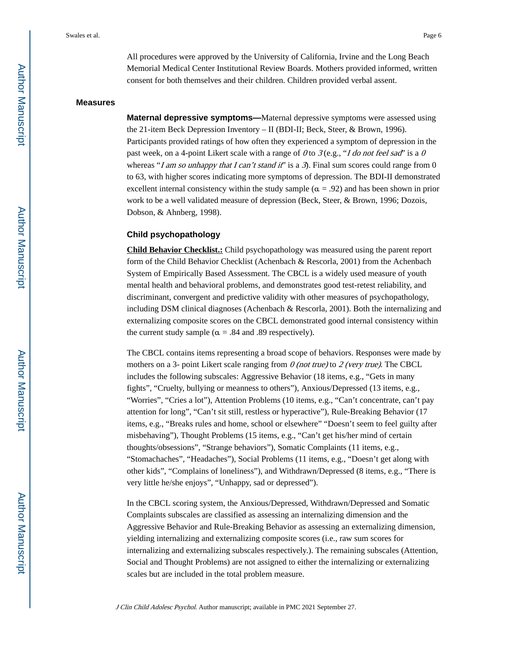All procedures were approved by the University of California, Irvine and the Long Beach Memorial Medical Center Institutional Review Boards. Mothers provided informed, written consent for both themselves and their children. Children provided verbal assent.

#### **Measures**

**Maternal depressive symptoms—**Maternal depressive symptoms were assessed using the 21-item Beck Depression Inventory – II (BDI-II; Beck, Steer, & Brown, 1996). Participants provided ratings of how often they experienced a symptom of depression in the past week, on a 4-point Likert scale with a range of  $\theta$  to  $\beta$  (e.g., "I do not feel sad" is a  $\theta$ whereas "I am so unhappy that I can't stand it" is a  $\beta$ ). Final sum scores could range from 0 to 63, with higher scores indicating more symptoms of depression. The BDI-II demonstrated excellent internal consistency within the study sample ( $\alpha = .92$ ) and has been shown in prior work to be a well validated measure of depression (Beck, Steer, & Brown, 1996; Dozois, Dobson, & Ahnberg, 1998).

#### **Child psychopathology**

**Child Behavior Checklist.:** Child psychopathology was measured using the parent report form of the Child Behavior Checklist (Achenbach & Rescorla, 2001) from the Achenbach System of Empirically Based Assessment. The CBCL is a widely used measure of youth mental health and behavioral problems, and demonstrates good test-retest reliability, and discriminant, convergent and predictive validity with other measures of psychopathology, including DSM clinical diagnoses (Achenbach & Rescorla, 2001). Both the internalizing and externalizing composite scores on the CBCL demonstrated good internal consistency within the current study sample ( $\alpha = .84$  and .89 respectively).

The CBCL contains items representing a broad scope of behaviors. Responses were made by mothers on a 3- point Likert scale ranging from  $\theta$  (not true) to 2 (very true). The CBCL includes the following subscales: Aggressive Behavior (18 items, e.g., "Gets in many fights", "Cruelty, bullying or meanness to others"), Anxious/Depressed (13 items, e.g., "Worries", "Cries a lot"), Attention Problems (10 items, e.g., "Can't concentrate, can't pay attention for long", "Can't sit still, restless or hyperactive"), Rule-Breaking Behavior (17 items, e.g., "Breaks rules and home, school or elsewhere" "Doesn't seem to feel guilty after misbehaving"), Thought Problems (15 items, e.g., "Can't get his/her mind of certain thoughts/obsessions", "Strange behaviors"), Somatic Complaints (11 items, e.g., "Stomachaches", "Headaches"), Social Problems (11 items, e.g., "Doesn't get along with other kids", "Complains of loneliness"), and Withdrawn/Depressed (8 items, e.g., "There is very little he/she enjoys", "Unhappy, sad or depressed").

In the CBCL scoring system, the Anxious/Depressed, Withdrawn/Depressed and Somatic Complaints subscales are classified as assessing an internalizing dimension and the Aggressive Behavior and Rule-Breaking Behavior as assessing an externalizing dimension, yielding internalizing and externalizing composite scores (i.e., raw sum scores for internalizing and externalizing subscales respectively.). The remaining subscales (Attention, Social and Thought Problems) are not assigned to either the internalizing or externalizing scales but are included in the total problem measure.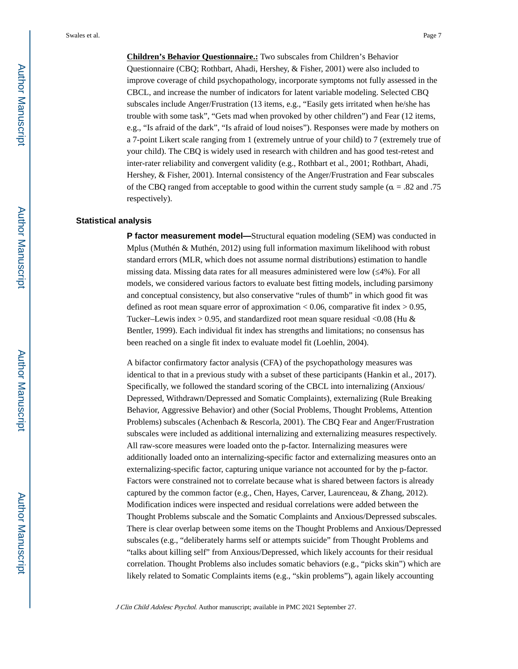**Children's Behavior Questionnaire.:** Two subscales from Children's Behavior Questionnaire (CBQ; Rothbart, Ahadi, Hershey, & Fisher, 2001) were also included to improve coverage of child psychopathology, incorporate symptoms not fully assessed in the CBCL, and increase the number of indicators for latent variable modeling. Selected CBQ subscales include Anger/Frustration (13 items, e.g., "Easily gets irritated when he/she has trouble with some task", "Gets mad when provoked by other children") and Fear (12 items, e.g., "Is afraid of the dark", "Is afraid of loud noises"). Responses were made by mothers on a 7-point Likert scale ranging from 1 (extremely untrue of your child) to 7 (extremely true of your child). The CBQ is widely used in research with children and has good test-retest and inter-rater reliability and convergent validity (e.g., Rothbart et al., 2001; Rothbart, Ahadi, Hershey, & Fisher, 2001). Internal consistency of the Anger/Frustration and Fear subscales of the CBQ ranged from acceptable to good within the current study sample ( $\alpha = .82$  and .75 respectively).

#### **Statistical analysis**

**P factor measurement model—**Structural equation modeling (SEM) was conducted in Mplus (Muthén & Muthén, 2012) using full information maximum likelihood with robust standard errors (MLR, which does not assume normal distributions) estimation to handle missing data. Missing data rates for all measures administered were low (4%). For all models, we considered various factors to evaluate best fitting models, including parsimony and conceptual consistency, but also conservative "rules of thumb" in which good fit was defined as root mean square error of approximation  $< 0.06$ , comparative fit index  $> 0.95$ , Tucker–Lewis index  $> 0.95$ , and standardized root mean square residual  $< 0.08$  (Hu & Bentler, 1999). Each individual fit index has strengths and limitations; no consensus has been reached on a single fit index to evaluate model fit (Loehlin, 2004).

A bifactor confirmatory factor analysis (CFA) of the psychopathology measures was identical to that in a previous study with a subset of these participants (Hankin et al., 2017). Specifically, we followed the standard scoring of the CBCL into internalizing (Anxious/ Depressed, Withdrawn/Depressed and Somatic Complaints), externalizing (Rule Breaking Behavior, Aggressive Behavior) and other (Social Problems, Thought Problems, Attention Problems) subscales (Achenbach & Rescorla, 2001). The CBQ Fear and Anger/Frustration subscales were included as additional internalizing and externalizing measures respectively. All raw-score measures were loaded onto the p-factor. Internalizing measures were additionally loaded onto an internalizing-specific factor and externalizing measures onto an externalizing-specific factor, capturing unique variance not accounted for by the p-factor. Factors were constrained not to correlate because what is shared between factors is already captured by the common factor (e.g., Chen, Hayes, Carver, Laurenceau, & Zhang, 2012). Modification indices were inspected and residual correlations were added between the Thought Problems subscale and the Somatic Complaints and Anxious/Depressed subscales. There is clear overlap between some items on the Thought Problems and Anxious/Depressed subscales (e.g., "deliberately harms self or attempts suicide" from Thought Problems and "talks about killing self" from Anxious/Depressed, which likely accounts for their residual correlation. Thought Problems also includes somatic behaviors (e.g., "picks skin") which are likely related to Somatic Complaints items (e.g., "skin problems"), again likely accounting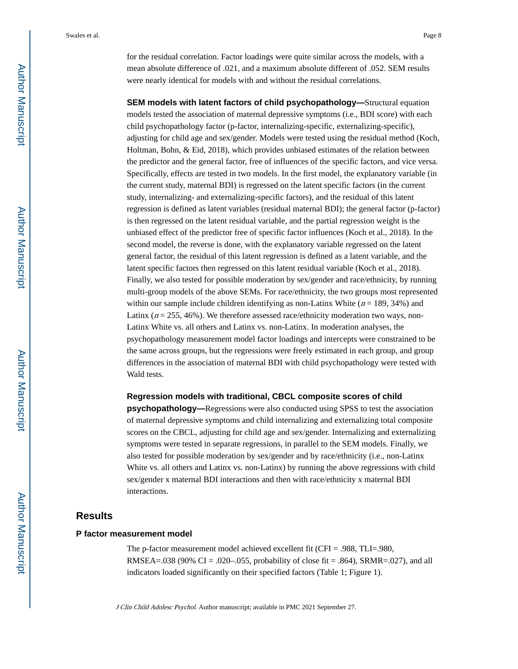for the residual correlation. Factor loadings were quite similar across the models, with a mean absolute difference of .021, and a maximum absolute different of .052. SEM results were nearly identical for models with and without the residual correlations.

**SEM models with latent factors of child psychopathology—**Structural equation models tested the association of maternal depressive symptoms (i.e., BDI score) with each child psychopathology factor (p-factor, internalizing-specific, externalizing-specific), adjusting for child age and sex/gender. Models were tested using the residual method (Koch, Holtman, Bohn, & Eid, 2018), which provides unbiased estimates of the relation between the predictor and the general factor, free of influences of the specific factors, and vice versa. Specifically, effects are tested in two models. In the first model, the explanatory variable (in the current study, maternal BDI) is regressed on the latent specific factors (in the current study, internalizing- and externalizing-specific factors), and the residual of this latent regression is defined as latent variables (residual maternal BDI); the general factor (p-factor) is then regressed on the latent residual variable, and the partial regression weight is the unbiased effect of the predictor free of specific factor influences (Koch et al., 2018). In the second model, the reverse is done, with the explanatory variable regressed on the latent general factor, the residual of this latent regression is defined as a latent variable, and the latent specific factors then regressed on this latent residual variable (Koch et al., 2018). Finally, we also tested for possible moderation by sex/gender and race/ethnicity, by running multi-group models of the above SEMs. For race/ethnicity, the two groups most represented within our sample include children identifying as non-Latinx White  $(n = 189, 34%)$  and Latinx ( $n = 255, 46\%$ ). We therefore assessed race/ethnicity moderation two ways, non-Latinx White vs. all others and Latinx vs. non-Latinx. In moderation analyses, the psychopathology measurement model factor loadings and intercepts were constrained to be the same across groups, but the regressions were freely estimated in each group, and group differences in the association of maternal BDI with child psychopathology were tested with Wald tests.

#### **Regression models with traditional, CBCL composite scores of child**

**psychopathology—**Regressions were also conducted using SPSS to test the association of maternal depressive symptoms and child internalizing and externalizing total composite scores on the CBCL, adjusting for child age and sex/gender. Internalizing and externalizing symptoms were tested in separate regressions, in parallel to the SEM models. Finally, we also tested for possible moderation by sex/gender and by race/ethnicity (i.e., non-Latinx White vs. all others and Latinx vs. non-Latinx) by running the above regressions with child sex/gender x maternal BDI interactions and then with race/ethnicity x maternal BDI interactions.

## **Results**

#### **P factor measurement model**

The p-factor measurement model achieved excellent fit (CFI = .988, TLI=.980, RMSEA=.038 (90% CI = .020–.055, probability of close fit = .864), SRMR=.027), and all indicators loaded significantly on their specified factors (Table 1; Figure 1).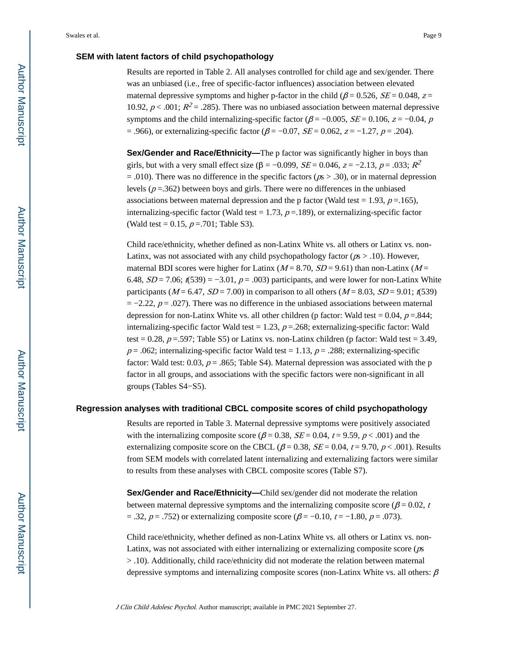#### **SEM with latent factors of child psychopathology**

Results are reported in Table 2. All analyses controlled for child age and sex/gender. There was an unbiased (i.e., free of specific-factor influences) association between elevated maternal depressive symptoms and higher p-factor in the child ( $\beta$  = 0.526,  $SE$  = 0.048, z = 10.92,  $p < .001$ ;  $R^2 = .285$ ). There was no unbiased association between maternal depressive symptoms and the child internalizing-specific factor ( $\beta$  = -0.005, SE = 0.106, z = -0.04, p = .966), or externalizing-specific factor ( $\beta$  = -0.07,  $SE$  = 0.062, z = -1.27, p = .204).

**Sex/Gender and Race/Ethnicity—**The p factor was significantly higher in boys than girls, but with a very small effect size ( $\beta = -0.099$ ,  $SE = 0.046$ ,  $z = -2.13$ ,  $p = .033$ ;  $R^2$  $= .010$ ). There was no difference in the specific factors ( $p_s > .30$ ), or in maternal depression levels ( $p = 0.362$ ) between boys and girls. There were no differences in the unbiased associations between maternal depression and the p factor (Wald test = 1.93,  $p = 165$ ), internalizing-specific factor (Wald test  $= 1.73$ ,  $p = 189$ ), or externalizing-specific factor (Wald test = 0.15,  $p = .701$ ; Table S3).

Child race/ethnicity, whether defined as non-Latinx White vs. all others or Latinx vs. non-Latinx, was not associated with any child psychopathology factor ( $p_s > .10$ ). However, maternal BDI scores were higher for Latinx ( $M = 8.70$ ,  $SD = 9.61$ ) than non-Latinx ( $M =$ 6.48,  $SD = 7.06$ ;  $(539) = -3.01$ ,  $p = .003$ ) participants, and were lower for non-Latinx White participants ( $M = 6.47$ ,  $SD = 7.00$ ) in comparison to all others ( $M = 8.03$ ,  $SD = 9.01$ ;  $(539)$ )  $= -2.22$ ,  $p = .027$ ). There was no difference in the unbiased associations between maternal depression for non-Latinx White vs. all other children (p factor: Wald test =  $0.04$ ,  $p = .844$ ; internalizing-specific factor Wald test  $= 1.23$ ,  $p = 268$ ; externalizing-specific factor: Wald test = 0.28,  $p = .597$ ; Table S5) or Latinx vs. non-Latinx children (p factor: Wald test = 3.49,  $p = .062$ ; internalizing-specific factor Wald test = 1.13,  $p = .288$ ; externalizing-specific factor: Wald test: 0.03,  $p = 0.865$ ; Table S4). Maternal depression was associated with the p factor in all groups, and associations with the specific factors were non-significant in all groups (Tables S4−S5).

#### **Regression analyses with traditional CBCL composite scores of child psychopathology**

Results are reported in Table 3. Maternal depressive symptoms were positively associated with the internalizing composite score ( $\beta$  = 0.38,  $SE$  = 0.04, t = 9.59, p < .001) and the externalizing composite score on the CBCL ( $\beta$  = 0.38,  $SE$  = 0.04,  $t$  = 9.70,  $p$  < .001). Results from SEM models with correlated latent internalizing and externalizing factors were similar to results from these analyses with CBCL composite scores (Table S7).

**Sex/Gender and Race/Ethnicity—**Child sex/gender did not moderate the relation between maternal depressive symptoms and the internalizing composite score ( $\beta$  = 0.02, t = .32,  $p = .752$ ) or externalizing composite score ( $\beta = -0.10$ ,  $t = -1.80$ ,  $p = .073$ ).

Child race/ethnicity, whether defined as non-Latinx White vs. all others or Latinx vs. non-Latinx, was not associated with either internalizing or externalizing composite score ( $p\bar{s}$ ) > .10). Additionally, child race/ethnicity did not moderate the relation between maternal depressive symptoms and internalizing composite scores (non-Latinx White vs. all others:  $\beta$ )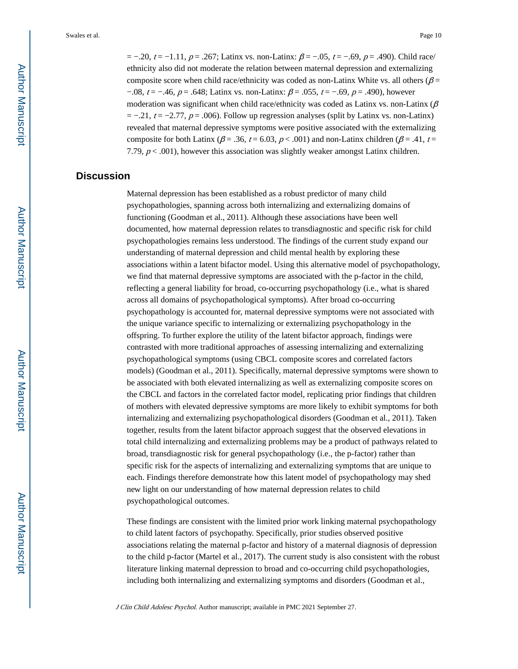$= -0.20$ ,  $t = -1.11$ ,  $p = 0.267$ ; Latinx vs. non-Latinx:  $\beta = -0.05$ ,  $t = -0.69$ ,  $p = 0.490$ . Child race/ ethnicity also did not moderate the relation between maternal depression and externalizing composite score when child race/ethnicity was coded as non-Latinx White vs. all others ( $\beta$  = −.08,  $t = -0.46$ ,  $p = 0.648$ ; Latinx vs. non-Latinx:  $\beta = 0.055$ ,  $t = -0.69$ ,  $p = 0.490$ ), however moderation was significant when child race/ethnicity was coded as Latinx vs. non-Latinx  $(\beta$  $= -0.21$ ,  $t = -2.77$ ,  $p = 0.006$ ). Follow up regression analyses (split by Latinx vs. non-Latinx) revealed that maternal depressive symptoms were positive associated with the externalizing composite for both Latinx ( $\beta$  = .36, t = 6.03, p < .001) and non-Latinx children ( $\beta$  = .41, t = 7.79,  $p < .001$ ), however this association was slightly weaker amongst Latinx children.

### **Discussion**

Maternal depression has been established as a robust predictor of many child psychopathologies, spanning across both internalizing and externalizing domains of functioning (Goodman et al., 2011). Although these associations have been well documented, how maternal depression relates to transdiagnostic and specific risk for child psychopathologies remains less understood. The findings of the current study expand our understanding of maternal depression and child mental health by exploring these associations within a latent bifactor model. Using this alternative model of psychopathology, we find that maternal depressive symptoms are associated with the p-factor in the child, reflecting a general liability for broad, co-occurring psychopathology (i.e., what is shared across all domains of psychopathological symptoms). After broad co-occurring psychopathology is accounted for, maternal depressive symptoms were not associated with the unique variance specific to internalizing or externalizing psychopathology in the offspring. To further explore the utility of the latent bifactor approach, findings were contrasted with more traditional approaches of assessing internalizing and externalizing psychopathological symptoms (using CBCL composite scores and correlated factors models) (Goodman et al., 2011). Specifically, maternal depressive symptoms were shown to be associated with both elevated internalizing as well as externalizing composite scores on the CBCL and factors in the correlated factor model, replicating prior findings that children of mothers with elevated depressive symptoms are more likely to exhibit symptoms for both internalizing and externalizing psychopathological disorders (Goodman et al., 2011). Taken together, results from the latent bifactor approach suggest that the observed elevations in total child internalizing and externalizing problems may be a product of pathways related to broad, transdiagnostic risk for general psychopathology (i.e., the p-factor) rather than specific risk for the aspects of internalizing and externalizing symptoms that are unique to each. Findings therefore demonstrate how this latent model of psychopathology may shed new light on our understanding of how maternal depression relates to child psychopathological outcomes.

These findings are consistent with the limited prior work linking maternal psychopathology to child latent factors of psychopathy. Specifically, prior studies observed positive associations relating the maternal p-factor and history of a maternal diagnosis of depression to the child p-factor (Martel et al., 2017). The current study is also consistent with the robust literature linking maternal depression to broad and co-occurring child psychopathologies, including both internalizing and externalizing symptoms and disorders (Goodman et al.,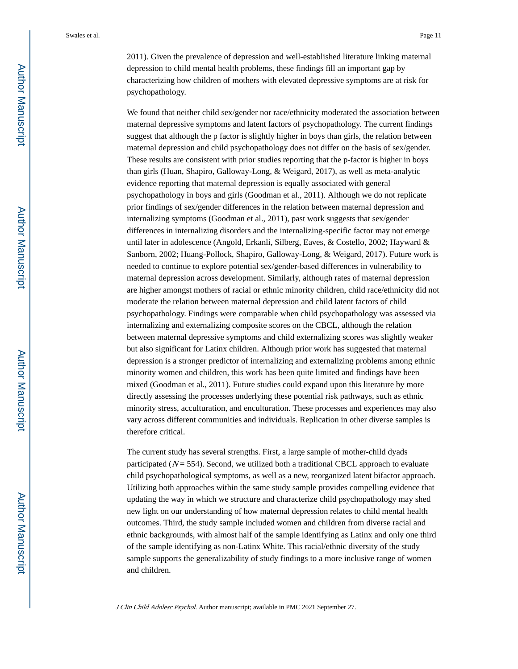2011). Given the prevalence of depression and well-established literature linking maternal depression to child mental health problems, these findings fill an important gap by characterizing how children of mothers with elevated depressive symptoms are at risk for psychopathology.

We found that neither child sex/gender nor race/ethnicity moderated the association between maternal depressive symptoms and latent factors of psychopathology. The current findings suggest that although the p factor is slightly higher in boys than girls, the relation between maternal depression and child psychopathology does not differ on the basis of sex/gender. These results are consistent with prior studies reporting that the p-factor is higher in boys than girls (Huan, Shapiro, Galloway-Long, & Weigard, 2017), as well as meta-analytic evidence reporting that maternal depression is equally associated with general psychopathology in boys and girls (Goodman et al., 2011). Although we do not replicate prior findings of sex/gender differences in the relation between maternal depression and internalizing symptoms (Goodman et al., 2011), past work suggests that sex/gender differences in internalizing disorders and the internalizing-specific factor may not emerge until later in adolescence (Angold, Erkanli, Silberg, Eaves, & Costello, 2002; Hayward & Sanborn, 2002; Huang-Pollock, Shapiro, Galloway-Long, & Weigard, 2017). Future work is needed to continue to explore potential sex/gender-based differences in vulnerability to maternal depression across development. Similarly, although rates of maternal depression are higher amongst mothers of racial or ethnic minority children, child race/ethnicity did not moderate the relation between maternal depression and child latent factors of child psychopathology. Findings were comparable when child psychopathology was assessed via internalizing and externalizing composite scores on the CBCL, although the relation between maternal depressive symptoms and child externalizing scores was slightly weaker but also significant for Latinx children. Although prior work has suggested that maternal depression is a stronger predictor of internalizing and externalizing problems among ethnic minority women and children, this work has been quite limited and findings have been mixed (Goodman et al., 2011). Future studies could expand upon this literature by more directly assessing the processes underlying these potential risk pathways, such as ethnic minority stress, acculturation, and enculturation. These processes and experiences may also vary across different communities and individuals. Replication in other diverse samples is therefore critical.

The current study has several strengths. First, a large sample of mother-child dyads participated ( $N = 554$ ). Second, we utilized both a traditional CBCL approach to evaluate child psychopathological symptoms, as well as a new, reorganized latent bifactor approach. Utilizing both approaches within the same study sample provides compelling evidence that updating the way in which we structure and characterize child psychopathology may shed new light on our understanding of how maternal depression relates to child mental health outcomes. Third, the study sample included women and children from diverse racial and ethnic backgrounds, with almost half of the sample identifying as Latinx and only one third of the sample identifying as non-Latinx White. This racial/ethnic diversity of the study sample supports the generalizability of study findings to a more inclusive range of women and children.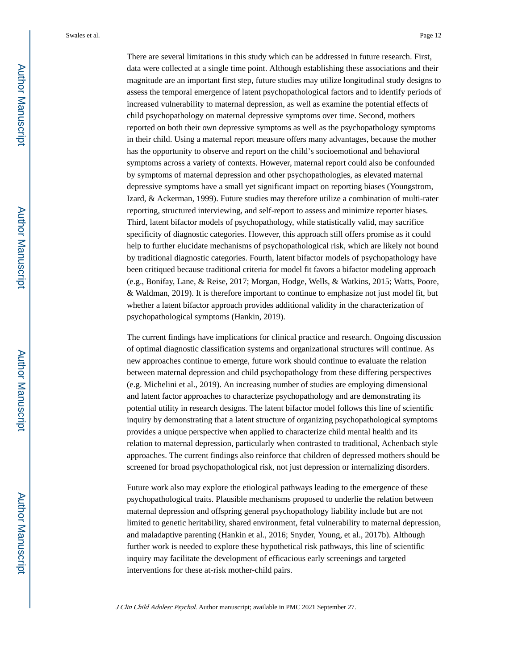There are several limitations in this study which can be addressed in future research. First, data were collected at a single time point. Although establishing these associations and their magnitude are an important first step, future studies may utilize longitudinal study designs to assess the temporal emergence of latent psychopathological factors and to identify periods of increased vulnerability to maternal depression, as well as examine the potential effects of child psychopathology on maternal depressive symptoms over time. Second, mothers reported on both their own depressive symptoms as well as the psychopathology symptoms in their child. Using a maternal report measure offers many advantages, because the mother has the opportunity to observe and report on the child's socioemotional and behavioral symptoms across a variety of contexts. However, maternal report could also be confounded by symptoms of maternal depression and other psychopathologies, as elevated maternal depressive symptoms have a small yet significant impact on reporting biases (Youngstrom, Izard, & Ackerman, 1999). Future studies may therefore utilize a combination of multi-rater reporting, structured interviewing, and self-report to assess and minimize reporter biases. Third, latent bifactor models of psychopathology, while statistically valid, may sacrifice specificity of diagnostic categories. However, this approach still offers promise as it could help to further elucidate mechanisms of psychopathological risk, which are likely not bound by traditional diagnostic categories. Fourth, latent bifactor models of psychopathology have been critiqued because traditional criteria for model fit favors a bifactor modeling approach (e.g., Bonifay, Lane, & Reise, 2017; Morgan, Hodge, Wells, & Watkins, 2015; Watts, Poore, & Waldman, 2019). It is therefore important to continue to emphasize not just model fit, but whether a latent bifactor approach provides additional validity in the characterization of psychopathological symptoms (Hankin, 2019).

The current findings have implications for clinical practice and research. Ongoing discussion of optimal diagnostic classification systems and organizational structures will continue. As new approaches continue to emerge, future work should continue to evaluate the relation between maternal depression and child psychopathology from these differing perspectives (e.g. Michelini et al., 2019). An increasing number of studies are employing dimensional and latent factor approaches to characterize psychopathology and are demonstrating its potential utility in research designs. The latent bifactor model follows this line of scientific inquiry by demonstrating that a latent structure of organizing psychopathological symptoms provides a unique perspective when applied to characterize child mental health and its relation to maternal depression, particularly when contrasted to traditional, Achenbach style approaches. The current findings also reinforce that children of depressed mothers should be screened for broad psychopathological risk, not just depression or internalizing disorders.

Future work also may explore the etiological pathways leading to the emergence of these psychopathological traits. Plausible mechanisms proposed to underlie the relation between maternal depression and offspring general psychopathology liability include but are not limited to genetic heritability, shared environment, fetal vulnerability to maternal depression, and maladaptive parenting (Hankin et al., 2016; Snyder, Young, et al., 2017b). Although further work is needed to explore these hypothetical risk pathways, this line of scientific inquiry may facilitate the development of efficacious early screenings and targeted interventions for these at-risk mother-child pairs.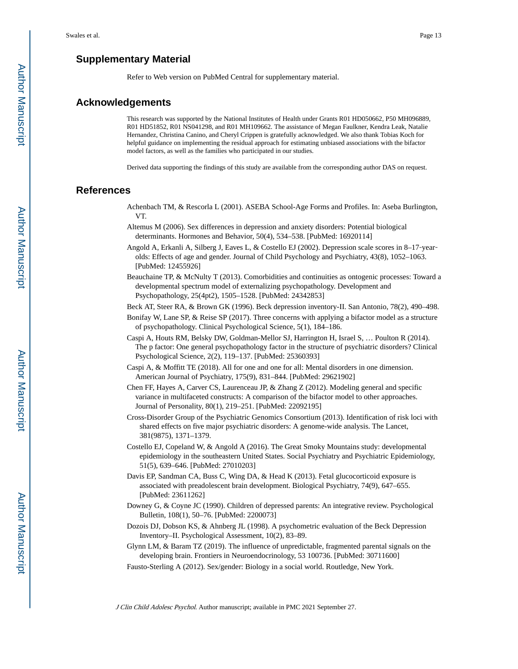## **Supplementary Material**

Refer to Web version on PubMed Central for supplementary material.

#### **Acknowledgements**

This research was supported by the National Institutes of Health under Grants R01 HD050662, P50 MH096889, R01 HD51852, R01 NS041298, and R01 MH109662. The assistance of Megan Faulkner, Kendra Leak, Natalie Hernandez, Christina Canino, and Cheryl Crippen is gratefully acknowledged. We also thank Tobias Koch for helpful guidance on implementing the residual approach for estimating unbiased associations with the bifactor model factors, as well as the families who participated in our studies.

Derived data supporting the findings of this study are available from the corresponding author DAS on request.

## **References**

- Achenbach TM, & Rescorla L (2001). ASEBA School-Age Forms and Profiles. In: Aseba Burlington, VT.
- Altemus M (2006). Sex differences in depression and anxiety disorders: Potential biological determinants. Hormones and Behavior, 50(4), 534–538. [PubMed: 16920114]
- Angold A, Erkanli A, Silberg J, Eaves L, & Costello EJ (2002). Depression scale scores in 8–17‐year‐ olds: Effects of age and gender. Journal of Child Psychology and Psychiatry, 43(8), 1052–1063. [PubMed: 12455926]
- Beauchaine TP, & McNulty T (2013). Comorbidities and continuities as ontogenic processes: Toward a developmental spectrum model of externalizing psychopathology. Development and Psychopathology, 25(4pt2), 1505–1528. [PubMed: 24342853]
- Beck AT, Steer RA, & Brown GK (1996). Beck depression inventory-II. San Antonio, 78(2), 490–498.
- Bonifay W, Lane SP, & Reise SP (2017). Three concerns with applying a bifactor model as a structure of psychopathology. Clinical Psychological Science, 5(1), 184–186.
- Caspi A, Houts RM, Belsky DW, Goldman-Mellor SJ, Harrington H, Israel S, … Poulton R (2014). The p factor: One general psychopathology factor in the structure of psychiatric disorders? Clinical Psychological Science, 2(2), 119–137. [PubMed: 25360393]
- Caspi A, & Moffitt TE (2018). All for one and one for all: Mental disorders in one dimension. American Journal of Psychiatry, 175(9), 831–844. [PubMed: 29621902]
- Chen FF, Hayes A, Carver CS, Laurenceau JP, & Zhang Z (2012). Modeling general and specific variance in multifaceted constructs: A comparison of the bifactor model to other approaches. Journal of Personality, 80(1), 219–251. [PubMed: 22092195]
- Cross-Disorder Group of the Psychiatric Genomics Consortium (2013). Identification of risk loci with shared effects on five major psychiatric disorders: A genome-wide analysis. The Lancet, 381(9875), 1371–1379.
- Costello EJ, Copeland W, & Angold A (2016). The Great Smoky Mountains study: developmental epidemiology in the southeastern United States. Social Psychiatry and Psychiatric Epidemiology, 51(5), 639–646. [PubMed: 27010203]
- Davis EP, Sandman CA, Buss C, Wing DA, & Head K (2013). Fetal glucocorticoid exposure is associated with preadolescent brain development. Biological Psychiatry, 74(9), 647–655. [PubMed: 23611262]
- Downey G, & Coyne JC (1990). Children of depressed parents: An integrative review. Psychological Bulletin, 108(1), 50–76. [PubMed: 2200073]
- Dozois DJ, Dobson KS, & Ahnberg JL (1998). A psychometric evaluation of the Beck Depression Inventory–II. Psychological Assessment, 10(2), 83–89.
- Glynn LM, & Baram TZ (2019). The influence of unpredictable, fragmented parental signals on the developing brain. Frontiers in Neuroendocrinology, 53 100736. [PubMed: 30711600]
- Fausto-Sterling A (2012). Sex/gender: Biology in a social world. Routledge, New York.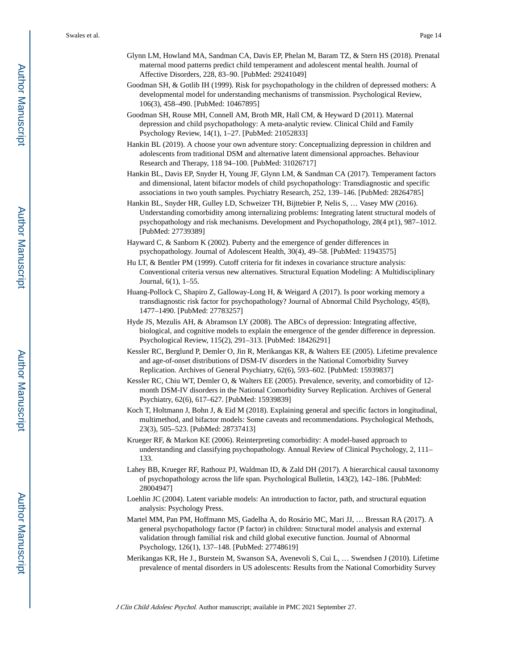- Glynn LM, Howland MA, Sandman CA, Davis EP, Phelan M, Baram TZ, & Stern HS (2018). Prenatal maternal mood patterns predict child temperament and adolescent mental health. Journal of Affective Disorders, 228, 83–90. [PubMed: 29241049]
- Goodman SH, & Gotlib IH (1999). Risk for psychopathology in the children of depressed mothers: A developmental model for understanding mechanisms of transmission. Psychological Review, 106(3), 458–490. [PubMed: 10467895]
- Goodman SH, Rouse MH, Connell AM, Broth MR, Hall CM, & Heyward D (2011). Maternal depression and child psychopathology: A meta-analytic review. Clinical Child and Family Psychology Review, 14(1), 1–27. [PubMed: 21052833]
- Hankin BL (2019). A choose your own adventure story: Conceptualizing depression in children and adolescents from traditional DSM and alternative latent dimensional approaches. Behaviour Research and Therapy, 118 94–100. [PubMed: 31026717]
- Hankin BL, Davis EP, Snyder H, Young JF, Glynn LM, & Sandman CA (2017). Temperament factors and dimensional, latent bifactor models of child psychopathology: Transdiagnostic and specific associations in two youth samples. Psychiatry Research, 252, 139–146. [PubMed: 28264785]
- Hankin BL, Snyder HR, Gulley LD, Schweizer TH, Bijttebier P, Nelis S, … Vasey MW (2016). Understanding comorbidity among internalizing problems: Integrating latent structural models of psychopathology and risk mechanisms. Development and Psychopathology, 28(4 pt1), 987–1012. [PubMed: 27739389]
- Hayward C, & Sanborn K (2002). Puberty and the emergence of gender differences in psychopathology. Journal of Adolescent Health, 30(4), 49–58. [PubMed: 11943575]
- Hu LT, & Bentler PM (1999). Cutoff criteria for fit indexes in covariance structure analysis: Conventional criteria versus new alternatives. Structural Equation Modeling: A Multidisciplinary Journal, 6(1), 1–55.
- Huang-Pollock C, Shapiro Z, Galloway-Long H, & Weigard A (2017). Is poor working memory a transdiagnostic risk factor for psychopathology? Journal of Abnormal Child Psychology, 45(8), 1477–1490. [PubMed: 27783257]
- Hyde JS, Mezulis AH, & Abramson LY (2008). The ABCs of depression: Integrating affective, biological, and cognitive models to explain the emergence of the gender difference in depression. Psychological Review, 115(2), 291–313. [PubMed: 18426291]
- Kessler RC, Berglund P, Demler O, Jin R, Merikangas KR, & Walters EE (2005). Lifetime prevalence and age-of-onset distributions of DSM-IV disorders in the National Comorbidity Survey Replication. Archives of General Psychiatry, 62(6), 593–602. [PubMed: 15939837]
- Kessler RC, Chiu WT, Demler O, & Walters EE (2005). Prevalence, severity, and comorbidity of 12 month DSM-IV disorders in the National Comorbidity Survey Replication. Archives of General Psychiatry, 62(6), 617–627. [PubMed: 15939839]
- Koch T, Holtmann J, Bohn J, & Eid M (2018). Explaining general and specific factors in longitudinal, multimethod, and bifactor models: Some caveats and recommendations. Psychological Methods, 23(3), 505–523. [PubMed: 28737413]
- Krueger RF, & Markon KE (2006). Reinterpreting comorbidity: A model-based approach to understanding and classifying psychopathology. Annual Review of Clinical Psychology, 2, 111– 133.
- Lahey BB, Krueger RF, Rathouz PJ, Waldman ID, & Zald DH (2017). A hierarchical causal taxonomy of psychopathology across the life span. Psychological Bulletin, 143(2), 142–186. [PubMed: 28004947]
- Loehlin JC (2004). Latent variable models: An introduction to factor, path, and structural equation analysis: Psychology Press.
- Martel MM, Pan PM, Hoffmann MS, Gadelha A, do Rosário MC, Mari JJ, … Bressan RA (2017). A general psychopathology factor (P factor) in children: Structural model analysis and external validation through familial risk and child global executive function. Journal of Abnormal Psychology, 126(1), 137–148. [PubMed: 27748619]
- Merikangas KR, He J., Burstein M, Swanson SA, Avenevoli S, Cui L, … Swendsen J (2010). Lifetime prevalence of mental disorders in US adolescents: Results from the National Comorbidity Survey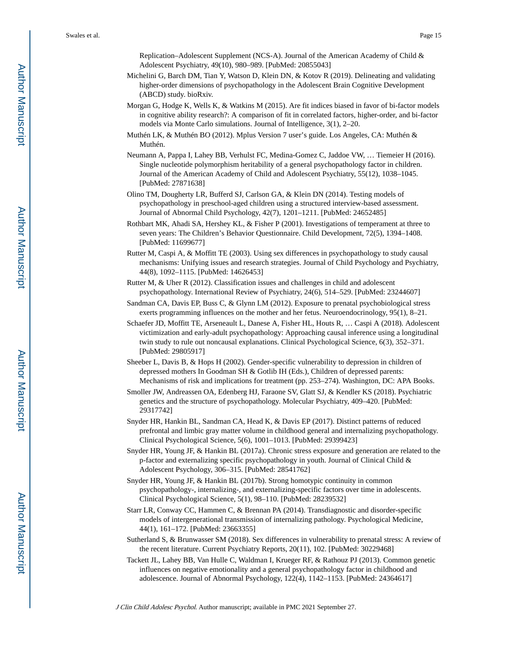Replication–Adolescent Supplement (NCS-A). Journal of the American Academy of Child & Adolescent Psychiatry, 49(10), 980–989. [PubMed: 20855043]

- Michelini G, Barch DM, Tian Y, Watson D, Klein DN, & Kotov R (2019). Delineating and validating higher-order dimensions of psychopathology in the Adolescent Brain Cognitive Development (ABCD) study. bioRxiv.
- Morgan G, Hodge K, Wells K, & Watkins M (2015). Are fit indices biased in favor of bi-factor models in cognitive ability research?: A comparison of fit in correlated factors, higher-order, and bi-factor models via Monte Carlo simulations. Journal of Intelligence, 3(1), 2–20.
- Muthén LK, & Muthén BO (2012). Mplus Version 7 user's guide. Los Angeles, CA: Muthén & Muthén.
- Neumann A, Pappa I, Lahey BB, Verhulst FC, Medina-Gomez C, Jaddoe VW, … Tiemeier H (2016). Single nucleotide polymorphism heritability of a general psychopathology factor in children. Journal of the American Academy of Child and Adolescent Psychiatry, 55(12), 1038–1045. [PubMed: 27871638]
- Olino TM, Dougherty LR, Bufferd SJ, Carlson GA, & Klein DN (2014). Testing models of psychopathology in preschool-aged children using a structured interview-based assessment. Journal of Abnormal Child Psychology, 42(7), 1201–1211. [PubMed: 24652485]
- Rothbart MK, Ahadi SA, Hershey KL, & Fisher P (2001). Investigations of temperament at three to seven years: The Children's Behavior Questionnaire. Child Development, 72(5), 1394–1408. [PubMed: 11699677]
- Rutter M, Caspi A, & Moffitt TE (2003). Using sex differences in psychopathology to study causal mechanisms: Unifying issues and research strategies. Journal of Child Psychology and Psychiatry, 44(8), 1092–1115. [PubMed: 14626453]
- Rutter M, & Uher R (2012). Classification issues and challenges in child and adolescent psychopathology. International Review of Psychiatry, 24(6), 514–529. [PubMed: 23244607]
- Sandman CA, Davis EP, Buss C, & Glynn LM (2012). Exposure to prenatal psychobiological stress exerts programming influences on the mother and her fetus. Neuroendocrinology, 95(1), 8–21.
- Schaefer JD, Moffitt TE, Arseneault L, Danese A, Fisher HL, Houts R, … Caspi A (2018). Adolescent victimization and early-adult psychopathology: Approaching causal inference using a longitudinal twin study to rule out noncausal explanations. Clinical Psychological Science, 6(3), 352–371. [PubMed: 29805917]
- Sheeber L, Davis B, & Hops H (2002). Gender-specific vulnerability to depression in children of depressed mothers In Goodman SH & Gotlib IH (Eds.), Children of depressed parents: Mechanisms of risk and implications for treatment (pp. 253–274). Washington, DC: APA Books.
- Smoller JW, Andreassen OA, Edenberg HJ, Faraone SV, Glatt SJ, & Kendler KS (2018). Psychiatric genetics and the structure of psychopathology. Molecular Psychiatry, 409–420. [PubMed: 29317742]
- Snyder HR, Hankin BL, Sandman CA, Head K, & Davis EP (2017). Distinct patterns of reduced prefrontal and limbic gray matter volume in childhood general and internalizing psychopathology. Clinical Psychological Science, 5(6), 1001–1013. [PubMed: 29399423]
- Snyder HR, Young JF, & Hankin BL (2017a). Chronic stress exposure and generation are related to the p-factor and externalizing specific psychopathology in youth. Journal of Clinical Child & Adolescent Psychology, 306–315. [PubMed: 28541762]
- Snyder HR, Young JF, & Hankin BL (2017b). Strong homotypic continuity in common psychopathology-, internalizing-, and externalizing-specific factors over time in adolescents. Clinical Psychological Science, 5(1), 98–110. [PubMed: 28239532]
- Starr LR, Conway CC, Hammen C, & Brennan PA (2014). Transdiagnostic and disorder-specific models of intergenerational transmission of internalizing pathology. Psychological Medicine, 44(1), 161–172. [PubMed: 23663355]
- Sutherland S, & Brunwasser SM (2018). Sex differences in vulnerability to prenatal stress: A review of the recent literature. Current Psychiatry Reports, 20(11), 102. [PubMed: 30229468]
- Tackett JL, Lahey BB, Van Hulle C, Waldman I, Krueger RF, & Rathouz PJ (2013). Common genetic influences on negative emotionality and a general psychopathology factor in childhood and adolescence. Journal of Abnormal Psychology, 122(4), 1142–1153. [PubMed: 24364617]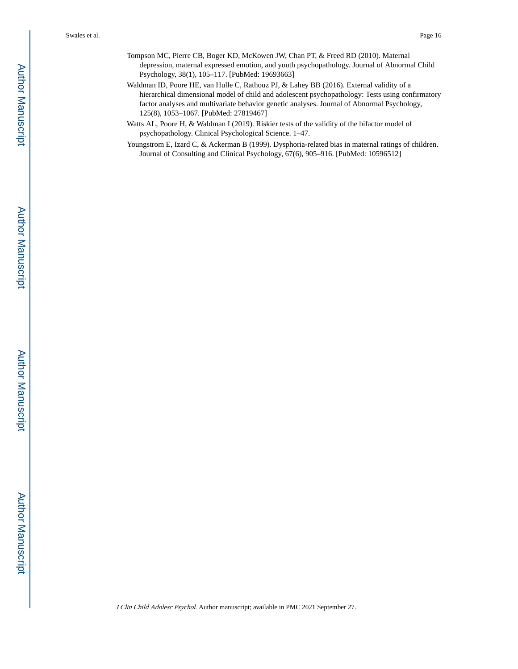- Tompson MC, Pierre CB, Boger KD, McKowen JW, Chan PT, & Freed RD (2010). Maternal depression, maternal expressed emotion, and youth psychopathology. Journal of Abnormal Child Psychology, 38(1), 105–117. [PubMed: 19693663]
- Waldman ID, Poore HE, van Hulle C, Rathouz PJ, & Lahey BB (2016). External validity of a hierarchical dimensional model of child and adolescent psychopathology: Tests using confirmatory factor analyses and multivariate behavior genetic analyses. Journal of Abnormal Psychology, 125(8), 1053–1067. [PubMed: 27819467]
- Watts AL, Poore H, & Waldman I (2019). Riskier tests of the validity of the bifactor model of psychopathology. Clinical Psychological Science. 1–47.
- Youngstrom E, Izard C, & Ackerman B (1999). Dysphoria-related bias in maternal ratings of children. Journal of Consulting and Clinical Psychology, 67(6), 905–916. [PubMed: 10596512]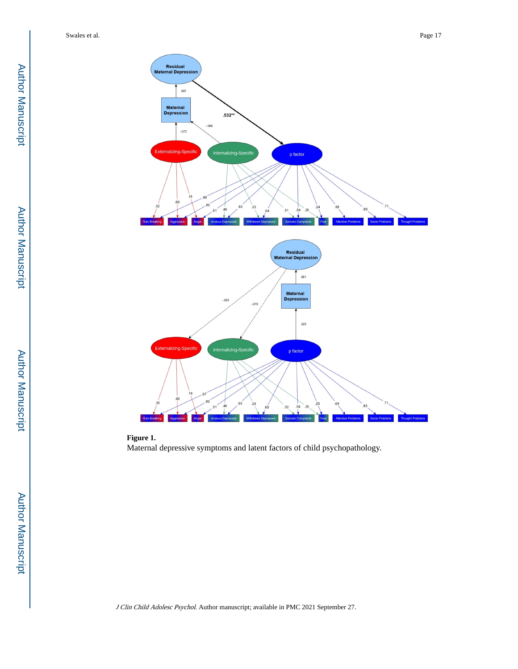

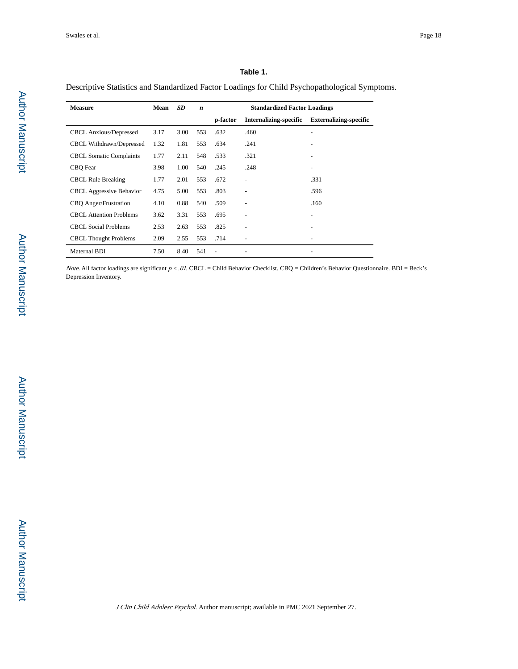#### **Table 1.**

Descriptive Statistics and Standardized Factor Loadings for Child Psychopathological Symptoms.

| <b>Measure</b>                  | Mean | <b>SD</b> | $\boldsymbol{n}$ | <b>Standardized Factor Loadings</b> |                               |                               |  |
|---------------------------------|------|-----------|------------------|-------------------------------------|-------------------------------|-------------------------------|--|
|                                 |      |           |                  | p-factor                            | <b>Internalizing-specific</b> | <b>Externalizing-specific</b> |  |
| <b>CBCL Anxious/Depressed</b>   | 3.17 | 3.00      | 553              | .632                                | .460                          |                               |  |
| CBCL Withdrawn/Depressed        | 1.32 | 1.81      | 553              | .634                                | .241                          |                               |  |
| <b>CBCL Somatic Complaints</b>  | 1.77 | 2.11      | 548              | .533                                | .321                          |                               |  |
| CBO Fear                        | 3.98 | 1.00      | 540              | .245                                | .248                          | ٠                             |  |
| <b>CBCL Rule Breaking</b>       | 1.77 | 2.01      | 553              | .672                                | $\overline{\phantom{0}}$      | .331                          |  |
| <b>CBCL</b> Aggressive Behavior | 4.75 | 5.00      | 553              | .803                                |                               | .596                          |  |
| <b>CBQ</b> Anger/Frustration    | 4.10 | 0.88      | 540              | .509                                | $\overline{a}$                | .160                          |  |
| <b>CBCL Attention Problems</b>  | 3.62 | 3.31      | 553              | .695                                |                               |                               |  |
| <b>CBCL Social Problems</b>     | 2.53 | 2.63      | 553              | .825                                | ۰                             |                               |  |
| <b>CBCL Thought Problems</b>    | 2.09 | 2.55      | 553              | .714                                | $\overline{\phantom{0}}$      |                               |  |
| Maternal BDI                    | 7.50 | 8.40      | 541              | $\overline{a}$                      | ٠                             |                               |  |

Note. All factor loadings are significant  $p < 0.01$ . CBCL = Child Behavior Checklist. CBQ = Children's Behavior Questionnaire. BDI = Beck's Depression Inventory.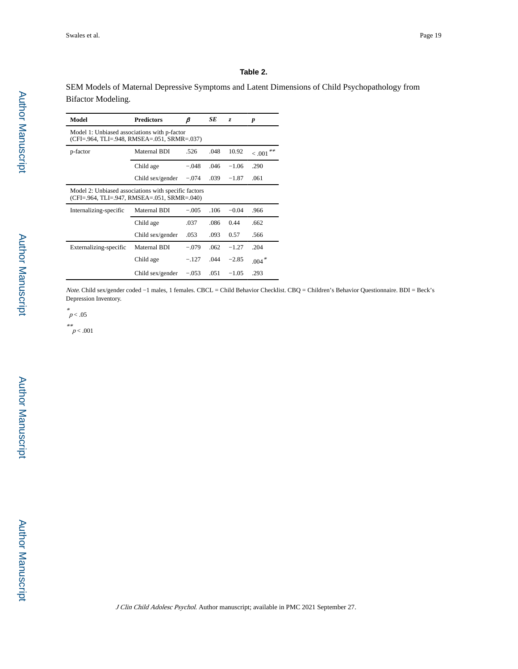#### **Table 2.**

SEM Models of Maternal Depressive Symptoms and Latent Dimensions of Child Psychopathology from Bifactor Modeling.

| Model                                                                                               | <b>Predictors</b> | β       | SE   | Z.      | p              |  |  |  |
|-----------------------------------------------------------------------------------------------------|-------------------|---------|------|---------|----------------|--|--|--|
| Model 1: Unbiased associations with p-factor<br>(CFI=.964, TLI=.948, RMSEA=.051, SRMR=.037)         |                   |         |      |         |                |  |  |  |
| p-factor                                                                                            | Maternal BDI      | .526    | .048 | 10.92   | $**$<br>< .001 |  |  |  |
|                                                                                                     | Child age         | $-.048$ | .046 | $-1.06$ | .290           |  |  |  |
|                                                                                                     | Child sex/gender  | $-.074$ | .039 | $-1.87$ | .061           |  |  |  |
| Model 2: Unbiased associations with specific factors<br>(CFI=.964, TLI=.947, RMSEA=.051, SRMR=.040) |                   |         |      |         |                |  |  |  |
| Internalizing-specific                                                                              | Maternal BDI      | $-.005$ | .106 | $-0.04$ | .966           |  |  |  |
|                                                                                                     | Child age         | .037    | .086 | 0.44    | .662           |  |  |  |
|                                                                                                     | Child sex/gender  | .053    | .093 | 0.57    | .566           |  |  |  |
| Externalizing-specific                                                                              | Maternal BDI      | $-.079$ | .062 | $-1.27$ | .204           |  |  |  |
|                                                                                                     | Child age         | $-.127$ | .044 | $-2.85$ | $.004*$        |  |  |  |
|                                                                                                     | Child sex/gender  | $-.053$ | .051 | $-1.05$ | .293           |  |  |  |

Note. Child sex/gender coded −1 males, 1 females. CBCL = Child Behavior Checklist. CBQ = Children's Behavior Questionnaire. BDI = Beck's Depression Inventory.

\* $p < .05$ 

\*\*<br> $p < .001$